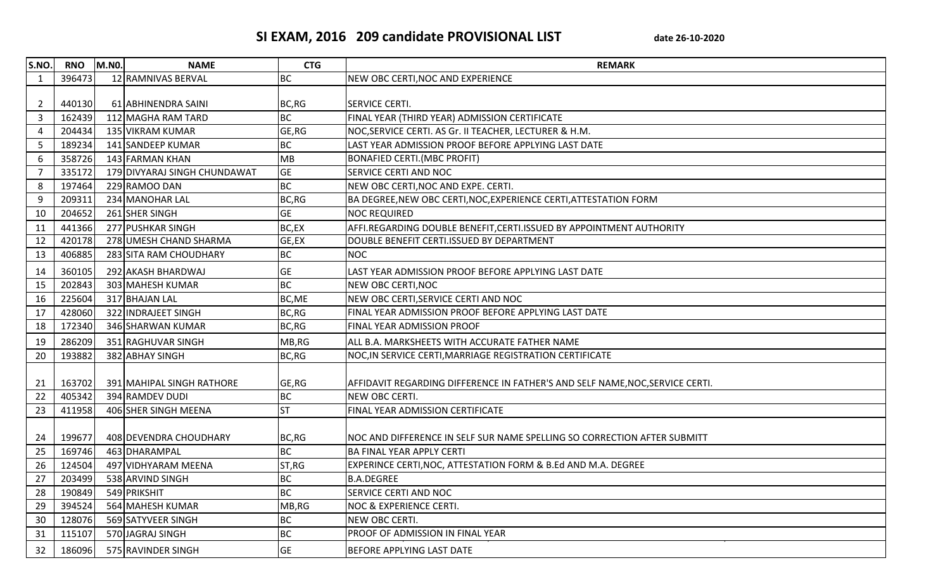## SI EXAM, 2016 209 candidate PROVISIONAL LIST date 26-10-2020

| S.NO.          | <b>RNO</b> | <b>M.NO.</b> | <b>NAME</b>                  | <b>CTG</b> | <b>REMARK</b>                                                                 |
|----------------|------------|--------------|------------------------------|------------|-------------------------------------------------------------------------------|
| $\mathbf{1}$   | 396473     |              | 12 RAMNIVAS BERVAL           | <b>BC</b>  | NEW OBC CERTI, NOC AND EXPERIENCE                                             |
|                |            |              |                              |            |                                                                               |
| 2              | 440130     |              | 61 ABHINENDRA SAINI          | BC, RG     | <b>SERVICE CERTI.</b>                                                         |
| $\overline{3}$ | 162439     |              | 112 MAGHA RAM TARD           | <b>BC</b>  | FINAL YEAR (THIRD YEAR) ADMISSION CERTIFICATE                                 |
| $\overline{4}$ | 204434     |              | 135 VIKRAM KUMAR             | GE, RG     | NOC, SERVICE CERTI. AS Gr. II TEACHER, LECTURER & H.M.                        |
| -5             | 189234     |              | 141 SANDEEP KUMAR            | <b>BC</b>  | LAST YEAR ADMISSION PROOF BEFORE APPLYING LAST DATE                           |
| 6              | 358726     |              | 143 FARMAN KHAN              | <b>MB</b>  | <b>BONAFIED CERTI. (MBC PROFIT)</b>                                           |
|                | 335172     |              | 179 DIVYARAJ SINGH CHUNDAWAT | <b>GE</b>  | SERVICE CERTI AND NOC                                                         |
| 8              | 197464     |              | 229 RAMOO DAN                | <b>BC</b>  | NEW OBC CERTI, NOC AND EXPE. CERTI.                                           |
| 9              | 209311     |              | 234 MANOHAR LAL              | BC, RG     | BA DEGREE, NEW OBC CERTI, NOC, EXPERIENCE CERTI, ATTESTATION FORM             |
| 10             | 204652     |              | 261 SHER SINGH               | <b>GE</b>  | <b>NOC REQUIRED</b>                                                           |
| 11             | 441366     |              | 277 PUSHKAR SINGH            | BC,EX      | AFFI.REGARDING DOUBLE BENEFIT, CERTI.ISSUED BY APPOINTMENT AUTHORITY          |
| 12             | 420178     |              | 278 UMESH CHAND SHARMA       | GE,EX      | DOUBLE BENEFIT CERTI.ISSUED BY DEPARTMENT                                     |
| 13             | 406885     |              | 283 SITA RAM CHOUDHARY       | <b>BC</b>  | <b>NOC</b>                                                                    |
| 14             | 360105     |              | 292 AKASH BHARDWAJ           | <b>GE</b>  | LAST YEAR ADMISSION PROOF BEFORE APPLYING LAST DATE                           |
| 15             | 202843     |              | 303 MAHESH KUMAR             | <b>BC</b>  | NEW OBC CERTI, NOC                                                            |
| 16             | 225604     |              | 317 BHAJAN LAL               | BC, ME     | NEW OBC CERTI, SERVICE CERTI AND NOC                                          |
| 17             | 428060     |              | 322 INDRAJEET SINGH          | BC, RG     | FINAL YEAR ADMISSION PROOF BEFORE APPLYING LAST DATE                          |
| 18             | 172340     |              | 346 SHARWAN KUMAR            | BC,RG      | FINAL YEAR ADMISSION PROOF                                                    |
| 19             | 286209     |              | 351 RAGHUVAR SINGH           | MB,RG      | ALL B.A. MARKSHEETS WITH ACCURATE FATHER NAME                                 |
| 20             | 193882     |              | 382 ABHAY SINGH              | BC, RG     | NOC, IN SERVICE CERTI, MARRIAGE REGISTRATION CERTIFICATE                      |
| 21             | 163702     |              | 391 MAHIPAL SINGH RATHORE    | GE, RG     | AFFIDAVIT REGARDING DIFFERENCE IN FATHER'S AND SELF NAME, NOC, SERVICE CERTI. |
| 22             | 405342     |              | 394 RAMDEV DUDI              | <b>BC</b>  | NEW OBC CERTI.                                                                |
| 23             | 411958     |              | 406 SHER SINGH MEENA         | <b>ST</b>  | FINAL YEAR ADMISSION CERTIFICATE                                              |
| 24             | 199677     |              | 408 DEVENDRA CHOUDHARY       | BC,RG      | NOC AND DIFFERENCE IN SELF SUR NAME SPELLING SO CORRECTION AFTER SUBMITT      |
| 25             | 169746     |              | 463 DHARAMPAL                | <b>BC</b>  | <b>BA FINAL YEAR APPLY CERTI</b>                                              |
| 26             | 124504     |              | 497 VIDHYARAM MEENA          | ST, RG     | EXPERINCE CERTI, NOC, ATTESTATION FORM & B.Ed AND M.A. DEGREE                 |
| 27             | 203499     |              | 538 ARVIND SINGH             | <b>BC</b>  | <b>B.A.DEGREE</b>                                                             |
| 28             | 190849     |              | 549 PRIKSHIT                 | <b>BC</b>  | <b>SERVICE CERTI AND NOC</b>                                                  |
| 29             | 394524     |              | 564 MAHESH KUMAR             | MB,RG      | <b>NOC &amp; EXPERIENCE CERTI.</b>                                            |
| 30             | 128076     |              | 569 SATYVEER SINGH           | <b>BC</b>  | NEW OBC CERTI.                                                                |
| 31             | 115107     |              | 570 JAGRAJ SINGH             | <b>BC</b>  | PROOF OF ADMISSION IN FINAL YEAR                                              |
| 32             | 186096     |              | 575 RAVINDER SINGH           | <b>GE</b>  | BEFORE APPLYING LAST DATE                                                     |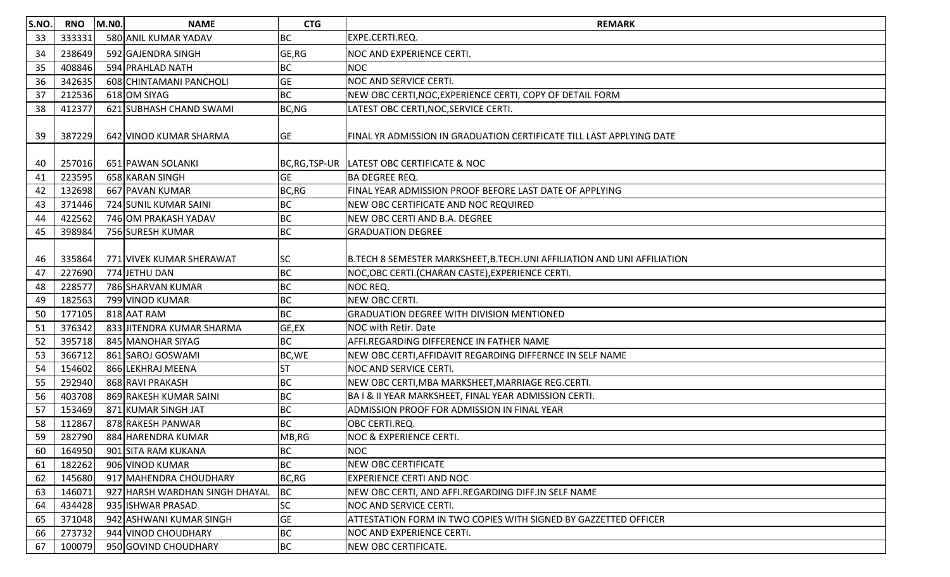| S.NO. | <b>RNO</b> | <b>M.NO.</b> | <b>NAME</b>                    | <b>CTG</b> | <b>REMARK</b>                                                           |
|-------|------------|--------------|--------------------------------|------------|-------------------------------------------------------------------------|
| 33    | 333331     |              | 580 ANIL KUMAR YADAV           | ВC         | EXPE.CERTI.REQ.                                                         |
| 34    | 238649     |              | 592 GAJENDRA SINGH             | GE, RG     | <b>NOC AND EXPERIENCE CERTI.</b>                                        |
| 35    | 408846     |              | 594 PRAHLAD NATH               | BC         | <b>NOC</b>                                                              |
| 36    | 342635     |              | 608 CHINTAMANI PANCHOLI        | <b>GE</b>  | <b>NOC AND SERVICE CERTI.</b>                                           |
| 37    | 212536     |              | 618 OM SIYAG                   | <b>BC</b>  | NEW OBC CERTI, NOC, EXPERIENCE CERTI, COPY OF DETAIL FORM               |
| 38    | 412377     |              | 621 SUBHASH CHAND SWAMI        | BC, NG     | LATEST OBC CERTI, NOC, SERVICE CERTI.                                   |
| 39    | 387229     |              | 642 VINOD KUMAR SHARMA         | <b>GE</b>  | FINAL YR ADMISSION IN GRADUATION CERTIFICATE TILL LAST APPLYING DATE    |
| 40    | 257016     |              | 651 PAWAN SOLANKI              |            | BC, RG, TSP-UR LATEST OBC CERTIFICATE & NOC                             |
| 41    | 223595     |              | 658 KARAN SINGH                | <b>GE</b>  | <b>BA DEGREE REQ.</b>                                                   |
| 42    | 132698     |              | 667 PAVAN KUMAR                | BC,RG      | FINAL YEAR ADMISSION PROOF BEFORE LAST DATE OF APPLYING                 |
| 43    | 371446     |              | 724 SUNIL KUMAR SAINI          | BC         | NEW OBC CERTIFICATE AND NOC REQUIRED                                    |
| 44    | 422562     |              | 746 OM PRAKASH YADAV           | <b>BC</b>  | NEW OBC CERTI AND B.A. DEGREE                                           |
| 45    | 398984     |              | 756 SURESH KUMAR               | <b>BC</b>  | <b>GRADUATION DEGREE</b>                                                |
| 46    | 335864     |              | 771 VIVEK KUMAR SHERAWAT       | <b>SC</b>  | B.TECH 8 SEMESTER MARKSHEET, B.TECH.UNI AFFILIATION AND UNI AFFILIATION |
| 47    | 227690     |              | 774 JETHU DAN                  | <b>BC</b>  | NOC, OBC CERTI. (CHARAN CASTE), EXPERIENCE CERTI.                       |
| 48    | 228577     |              | 786 SHARVAN KUMAR              | <b>BC</b>  | NOC REQ.                                                                |
| 49    | 182563     |              | 799 VINOD KUMAR                | <b>BC</b>  | NEW OBC CERTI.                                                          |
| 50    | 177105     |              | 818 AAT RAM                    | <b>BC</b>  | <b>GRADUATION DEGREE WITH DIVISION MENTIONED</b>                        |
| 51    | 376342     |              | 833 JITENDRA KUMAR SHARMA      | GE,EX      | <b>NOC with Retir. Date</b>                                             |
| 52    | 395718     |              | 845 MANOHAR SIYAG              | <b>BC</b>  | AFFI.REGARDING DIFFERENCE IN FATHER NAME                                |
| 53    | 366712     |              | 861 SAROJ GOSWAMI              | BC, WE     | NEW OBC CERTI, AFFIDAVIT REGARDING DIFFERNCE IN SELF NAME               |
| 54    | 154602     |              | 866 LEKHRAJ MEENA              | <b>ST</b>  | <b>NOC AND SERVICE CERTI.</b>                                           |
| 55    | 292940     |              | 868 RAVI PRAKASH               | <b>BC</b>  | NEW OBC CERTI, MBA MARKSHEET, MARRIAGE REG.CERTI.                       |
| 56    | 403708     |              | 869 RAKESH KUMAR SAINI         | <b>BC</b>  | BA I & II YEAR MARKSHEET, FINAL YEAR ADMISSION CERTI.                   |
| 57    | 153469     |              | 871 KUMAR SINGH JAT            | <b>BC</b>  | <b>ADMISSION PROOF FOR ADMISSION IN FINAL YEAR</b>                      |
| 58    | 112867     |              | 878 RAKESH PANWAR              | ВC         | <b>OBC CERTI.REQ.</b>                                                   |
| 59    | 282790     |              | 884 HARENDRA KUMAR             | MB,RG      | <b>NOC &amp; EXPERIENCE CERTI.</b>                                      |
| 60    | 164950     |              | 901 SITA RAM KUKANA            | <b>BC</b>  | <b>NOC</b>                                                              |
| 61    | 182262     |              | 906 VINOD KUMAR                | <b>BC</b>  | NEW OBC CERTIFICATE                                                     |
| 62    | 145680     |              | 917 MAHENDRA CHOUDHARY         | BC,RG      | <b>EXPERIENCE CERTI AND NOC</b>                                         |
| 63    | 146071     |              | 927 HARSH WARDHAN SINGH DHAYAL | BC         | NEW OBC CERTI, AND AFFI.REGARDING DIFF.IN SELF NAME                     |
| 64    | 434428     |              | 935 ISHWAR PRASAD              | <b>SC</b>  | NOC AND SERVICE CERTI.                                                  |
| 65    | 371048     |              | 942 ASHWANI KUMAR SINGH        | <b>GE</b>  | <b>ATTESTATION FORM IN TWO COPIES WITH SIGNED BY GAZZETTED OFFICER</b>  |
| 66    | 273732     |              | 944 VINOD CHOUDHARY            | <b>BC</b>  | <b>NOC AND EXPERIENCE CERTI.</b>                                        |
| 67    | 100079     |              | 950 GOVIND CHOUDHARY           | <b>BC</b>  | NEW OBC CERTIFICATE.                                                    |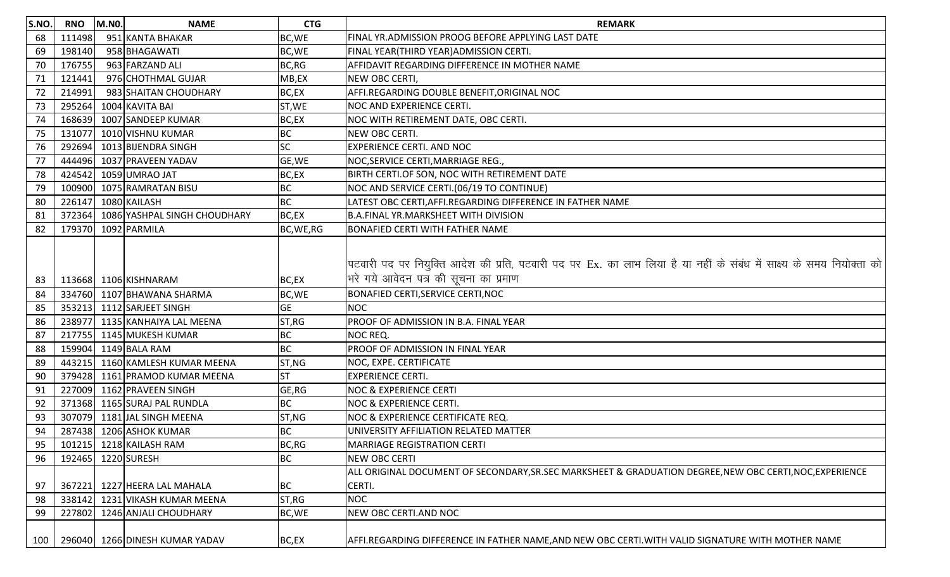| S.NO. | <b>RNO</b> | M.NO. | <b>NAME</b>                    | <b>CTG</b> | <b>REMARK</b>                                                                                                                                                 |
|-------|------------|-------|--------------------------------|------------|---------------------------------------------------------------------------------------------------------------------------------------------------------------|
| 68    | 111498     |       | 951 KANTA BHAKAR               | BC, WE     | FINAL YR.ADMISSION PROOG BEFORE APPLYING LAST DATE                                                                                                            |
| 69    | 198140     |       | 958 BHAGAWATI                  | BC, WE     | FINAL YEAR(THIRD YEAR)ADMISSION CERTI.                                                                                                                        |
| 70    | 176755     |       | 963 FARZAND ALI                | BC, RG     | AFFIDAVIT REGARDING DIFFERENCE IN MOTHER NAME                                                                                                                 |
| 71    | 121441     |       | 976 CHOTHMAL GUJAR             | MB,EX      | NEW OBC CERTI,                                                                                                                                                |
| 72    | 214991     |       | 983 SHAITAN CHOUDHARY          | BC,EX      | AFFI.REGARDING DOUBLE BENEFIT, ORIGINAL NOC                                                                                                                   |
| 73    | 295264     |       | 1004 KAVITA BAI                | ST, WE     | NOC AND EXPERIENCE CERTI.                                                                                                                                     |
| 74    | 168639     |       | 1007 SANDEEP KUMAR             | BC,EX      | NOC WITH RETIREMENT DATE, OBC CERTI.                                                                                                                          |
| 75    | 131077     |       | 1010 VISHNU KUMAR              | <b>BC</b>  | NEW OBC CERTI.                                                                                                                                                |
| 76    | 292694     |       | 1013 BIJENDRA SINGH            | <b>SC</b>  | <b>EXPERIENCE CERTI. AND NOC</b>                                                                                                                              |
| 77    | 444496     |       | 1037 PRAVEEN YADAV             | GE, WE     | NOC, SERVICE CERTI, MARRIAGE REG.,                                                                                                                            |
| 78    | 424542     |       | 1059 UMRAO JAT                 | BC,EX      | BIRTH CERTI.OF SON, NOC WITH RETIREMENT DATE                                                                                                                  |
| 79    | 100900     |       | 1075 RAMRATAN BISU             | BC         | NOC AND SERVICE CERTI.(06/19 TO CONTINUE)                                                                                                                     |
| 80    | 226147     |       | 1080 KAILASH                   | <b>BC</b>  | LATEST OBC CERTI, AFFI.REGARDING DIFFERENCE IN FATHER NAME                                                                                                    |
| 81    | 372364     |       | 1086 YASHPAL SINGH CHOUDHARY   | BC,EX      | B.A.FINAL YR.MARKSHEET WITH DIVISION                                                                                                                          |
| 82    | 179370     |       | 1092 PARMILA                   | BC, WE, RG | <b>BONAFIED CERTI WITH FATHER NAME</b>                                                                                                                        |
| 83    |            |       | 113668 1106 KISHNARAM          | BC,EX      | पटवारी पद पर नियुक्ति आदेश की प्रति, पटवारी पद पर Ex. का लाभ लिया है या नहीं के संबंध में साक्ष्य के समय नियोक्ता को<br>भरे गये आवेदन पत्र की सूचना का प्रमाण |
| 84    | 334760     |       | 1107 BHAWANA SHARMA            | BC, WE     | <b>BONAFIED CERTI, SERVICE CERTI, NOC</b>                                                                                                                     |
| 85    | 353213     |       | 1112 SARJEET SINGH             | <b>GE</b>  | <b>NOC</b>                                                                                                                                                    |
| 86    | 238977     |       | 1135 KANHAIYA LAL MEENA        | ST, RG     | PROOF OF ADMISSION IN B.A. FINAL YEAR                                                                                                                         |
| 87    | 217755     |       | 1145 MUKESH KUMAR              | <b>BC</b>  | NOC REQ.                                                                                                                                                      |
| 88    | 159904     |       | 1149 BALA RAM                  | <b>BC</b>  | PROOF OF ADMISSION IN FINAL YEAR                                                                                                                              |
| 89    | 443215     |       | 1160 KAMLESH KUMAR MEENA       | ST,NG      | NOC, EXPE. CERTIFICATE                                                                                                                                        |
| 90    | 379428     |       | 1161 PRAMOD KUMAR MEENA        | <b>ST</b>  | <b>EXPERIENCE CERTI.</b>                                                                                                                                      |
| 91    | 227009     |       | 1162 PRAVEEN SINGH             | GE, RG     | <b>NOC &amp; EXPERIENCE CERTI</b>                                                                                                                             |
| 92    | 371368     |       | 1165 SURAJ PAL RUNDLA          | <b>BC</b>  | <b>NOC &amp; EXPERIENCE CERTI.</b>                                                                                                                            |
| 93    | 307079     |       | 1181 JAL SINGH MEENA           | ST,NG      | NOC & EXPERIENCE CERTIFICATE REQ.                                                                                                                             |
| 94    |            |       | 287438 1206 ASHOK KUMAR        | <b>BC</b>  | UNIVERSITY AFFILIATION RELATED MATTER                                                                                                                         |
| 95    |            |       | 101215 1218 KAILASH RAM        | BC, RG     | <b>MARRIAGE REGISTRATION CERTI</b>                                                                                                                            |
| 96    | 192465     |       | 1220 SURESH                    | <b>BC</b>  | <b>NEW OBC CERTI</b>                                                                                                                                          |
|       |            |       |                                |            | ALL ORIGINAL DOCUMENT OF SECONDARY,SR.SEC MARKSHEET & GRADUATION DEGREE,NEW OBC CERTI,NOC,EXPERIENCE                                                          |
| 97    | 367221     |       | 1227 HEERA LAL MAHALA          | <b>BC</b>  | CERTI.                                                                                                                                                        |
| 98    | 338142     |       | 1231 VIKASH KUMAR MEENA        | ST, RG     | <b>NOC</b>                                                                                                                                                    |
| 99    | 227802     |       | 1246 ANJALI CHOUDHARY          | BC, WE     | NEW OBC CERTI.AND NOC                                                                                                                                         |
| 100   |            |       | 296040 1266 DINESH KUMAR YADAV | BC,EX      | AFFI.REGARDING DIFFERENCE IN FATHER NAME,AND NEW OBC CERTI.WITH VALID SIGNATURE WITH MOTHER NAME                                                              |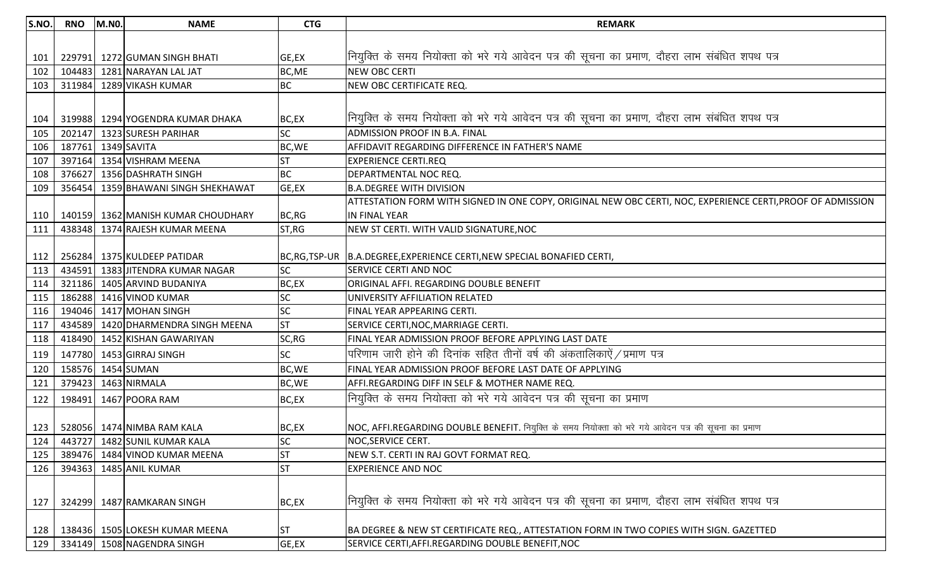| S.NO. | <b>RNO</b> | <b>M.NO.</b> | <b>NAME</b>                        | <b>CTG</b> | <b>REMARK</b>                                                                                               |
|-------|------------|--------------|------------------------------------|------------|-------------------------------------------------------------------------------------------------------------|
|       |            |              |                                    |            |                                                                                                             |
| 101   | 229791     |              | 1272 GUMAN SINGH BHATI             | GE,EX      | नियुक्ति के समय नियोक्ता को भरे गये आवेदन पत्र की सूचना का प्रमाण, दौहरा लाभ संबंधित शपथ पत्र               |
| 102   | 104483     |              | 1281 NARAYAN LAL JAT               | BC, ME     | <b>NEW OBC CERTI</b>                                                                                        |
| 103   | 311984     |              | 1289 VIKASH KUMAR                  | <b>BC</b>  | NEW OBC CERTIFICATE REQ.                                                                                    |
|       |            |              |                                    |            |                                                                                                             |
| 104   |            |              | 319988 1294 YOGENDRA KUMAR DHAKA   | BC,EX      | नियुक्ति के समय नियोक्ता को भरे गये आवेदन पत्र की सूचना का प्रमाण, दौहरा लाभ संबंधित शपथ पत्र               |
| 105   |            |              | 202147 1323 SURESH PARIHAR         | <b>SC</b>  | <b>ADMISSION PROOF IN B.A. FINAL</b>                                                                        |
| 106   | 187761     |              | 1349 SAVITA                        | BC, WE     | AFFIDAVIT REGARDING DIFFERENCE IN FATHER'S NAME                                                             |
| 107   | 397164     |              | 1354 VISHRAM MEENA                 | IST        | <b>EXPERIENCE CERTI.REQ</b>                                                                                 |
| 108   | 376627     |              | 1356 DASHRATH SINGH                | <b>BC</b>  | DEPARTMENTAL NOC REQ.                                                                                       |
| 109   | 356454     |              | 1359 BHAWANI SINGH SHEKHAWAT       | GE,EX      | <b>B.A.DEGREE WITH DIVISION</b>                                                                             |
|       |            |              |                                    |            | ATTESTATION FORM WITH SIGNED IN ONE COPY, ORIGINAL NEW OBC CERTI, NOC, EXPERIENCE CERTI, PROOF OF ADMISSION |
| 110   |            |              | 140159 1362 MANISH KUMAR CHOUDHARY | BC,RG      | <b>IN FINAL YEAR</b>                                                                                        |
| 111   |            |              | 438348 1374 RAJESH KUMAR MEENA     | ST, RG     | NEW ST CERTI. WITH VALID SIGNATURE, NOC                                                                     |
|       |            |              |                                    |            |                                                                                                             |
| 112   |            |              | 256284 1375 KULDEEP PATIDAR        |            | BC, RG, TSP-UR B.A.DEGREE, EXPERIENCE CERTI, NEW SPECIAL BONAFIED CERTI,                                    |
| 113   | 434591     |              | 1383 JITENDRA KUMAR NAGAR          | SC         | <b>SERVICE CERTI AND NOC</b>                                                                                |
| 114   | 321186     |              | 1405 ARVIND BUDANIYA               | BC,EX      | ORIGINAL AFFI. REGARDING DOUBLE BENEFIT                                                                     |
| 115   | 186288     |              | 1416 VINOD KUMAR                   | <b>SC</b>  | UNIVERSITY AFFILIATION RELATED                                                                              |
| 116   | 194046     |              | 1417 MOHAN SINGH                   | <b>SC</b>  | FINAL YEAR APPEARING CERTI.                                                                                 |
| 117   | 434589     |              | 1420 DHARMENDRA SINGH MEENA        | <b>ST</b>  | SERVICE CERTI, NOC, MARRIAGE CERTI.                                                                         |
| 118   | 418490     |              | 1452 KISHAN GAWARIYAN              | SC, RG     | FINAL YEAR ADMISSION PROOF BEFORE APPLYING LAST DATE                                                        |
| 119   | 147780     |              | 1453 GIRRAJ SINGH                  | <b>SC</b>  | $\vert$ परिणाम जारी होने की दिनांक सहित तीनों वर्ष की अंकतालिकाऐं $\,$ प्रमाण पत्र                          |
| 120   | 158576     |              | 1454 SUMAN                         | BC, WE     | FINAL YEAR ADMISSION PROOF BEFORE LAST DATE OF APPLYING                                                     |
| 121   | 379423     |              | 1463 NIRMALA                       | BC, WE     | AFFI.REGARDING DIFF IN SELF & MOTHER NAME REQ.                                                              |
| 122   | 198491     |              | 1467 POORA RAM                     | BC,EX      | नियुक्ति के समय नियोक्ता को भरे गये आवेदन पत्र की सूचना का प्रमाण                                           |
|       |            |              |                                    |            |                                                                                                             |
| 123   |            |              | 528056 1474 NIMBA RAM KALA         | BC,EX      | NOC, AFFI.REGARDING DOUBLE BENEFIT. नियुक्ति के समय नियोक्ता को भरे गये आवेदन पत्र की सूचना का प्रमाण       |
| 124   |            |              | 443727 1482 SUNIL KUMAR KALA       | SC         | <b>NOC, SERVICE CERT.</b>                                                                                   |
| 125   |            |              | 389476 1484 VINOD KUMAR MEENA      | <b>ST</b>  | NEW S.T. CERTI IN RAJ GOVT FORMAT REQ.                                                                      |
| 126   | 394363     |              | 1485 ANIL KUMAR                    | <b>ST</b>  | <b>EXPERIENCE AND NOC</b>                                                                                   |
|       |            |              |                                    |            |                                                                                                             |
| 127   | 324299     |              | 1487 RAMKARAN SINGH                | BC,EX      | नियुक्ति के समय नियोक्ता को भरे गये आवेदन पत्र की सूचना का प्रमाण, दौहरा लाभ संबंधित शपथ पत्र               |
| 128   |            |              | 138436 1505 LOKESH KUMAR MEENA     | <b>ST</b>  | BA DEGREE & NEW ST CERTIFICATE REQ., ATTESTATION FORM IN TWO COPIES WITH SIGN. GAZETTED                     |
| 129   |            |              | 334149 1508 NAGENDRA SINGH         | GE,EX      | SERVICE CERTI, AFFI.REGARDING DOUBLE BENEFIT, NOC                                                           |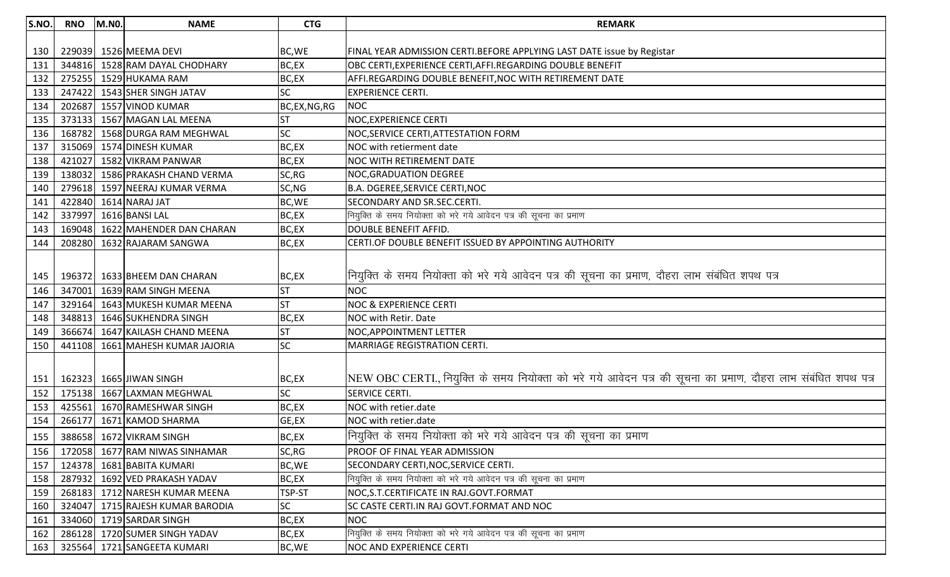| S.NO. | <b>RNO</b> | <b>M.NO.</b> | <b>NAME</b>                      | <b>CTG</b>  | <b>REMARK</b>                                                                                                 |
|-------|------------|--------------|----------------------------------|-------------|---------------------------------------------------------------------------------------------------------------|
|       |            |              |                                  |             |                                                                                                               |
| 130   |            |              | 229039 1526 MEEMA DEVI           | BC, WE      | FINAL YEAR ADMISSION CERTI.BEFORE APPLYING LAST DATE issue by Registar                                        |
| 131   |            |              | 344816 1528 RAM DAYAL CHODHARY   | BC,EX       | OBC CERTI, EXPERIENCE CERTI, AFFI.REGARDING DOUBLE BENEFIT                                                    |
| 132   |            |              | 275255 1529 HUKAMA RAM           | BC,EX       | AFFI.REGARDING DOUBLE BENEFIT, NOC WITH RETIREMENT DATE                                                       |
| 133   | 247422     |              | 1543 SHER SINGH JATAV            | SC          | <b>EXPERIENCE CERTI.</b>                                                                                      |
| 134   | 202687     |              | 1557 VINOD KUMAR                 | BC,EX,NG,RG | <b>NOC</b>                                                                                                    |
| 135   | 373133     |              | 1567 MAGAN LAL MEENA             | <b>ST</b>   | <b>NOC, EXPERIENCE CERTI</b>                                                                                  |
| 136   | 168782     |              | 1568 DURGA RAM MEGHWAL           | <b>SC</b>   | <b>NOC, SERVICE CERTI, ATTESTATION FORM</b>                                                                   |
| 137   | 315069     |              | 1574 DINESH KUMAR                | BC,EX       | NOC with retierment date                                                                                      |
| 138   | 421027     |              | 1582 VIKRAM PANWAR               | BC,EX       | <b>NOC WITH RETIREMENT DATE</b>                                                                               |
| 139   | 138032     |              | 1586 PRAKASH CHAND VERMA         | SC, RG      | <b>NOC, GRADUATION DEGREE</b>                                                                                 |
| 140   | 279618     |              | 1597 NEERAJ KUMAR VERMA          | SC, NG      | B.A. DGEREE, SERVICE CERTI, NOC                                                                               |
| 141   | 422840     |              | 1614 NARAJ JAT                   | BC, WE      | <b>SECONDARY AND SR.SEC.CERTI.</b>                                                                            |
| 142   | 337997     |              | 1616 BANSI LAL                   | BC,EX       | नियुक्ति के समय नियोक्ता को भरे गये आवेदन पत्र की सूचना का प्रमाण                                             |
| 143   | 169048     |              | 1622 MAHENDER DAN CHARAN         | BC,EX       | <b>DOUBLE BENEFIT AFFID.</b>                                                                                  |
| 144   |            |              | 208280 1632 RAJARAM SANGWA       | BC,EX       | CERTI.OF DOUBLE BENEFIT ISSUED BY APPOINTING AUTHORITY                                                        |
|       |            |              |                                  |             |                                                                                                               |
|       |            |              |                                  |             | नियुक्ति के समय नियोक्ता को भरे गये आवेदन पत्र की सूचना का प्रमाण, दौहरा लाभ संबंधित शपथ पत्र                 |
| 145   |            |              | 196372 1633 BHEEM DAN CHARAN     | BC,EX       |                                                                                                               |
| 146   | 347001     |              | 1639 RAM SINGH MEENA             | <b>ST</b>   | <b>NOC</b>                                                                                                    |
| 147   | 329164     |              | 1643 MUKESH KUMAR MEENA          | <b>ST</b>   | <b>NOC &amp; EXPERIENCE CERTI</b>                                                                             |
| 148   | 348813     |              | 1646 SUKHENDRA SINGH             | BC,EX       | NOC with Retir. Date                                                                                          |
| 149   | 366674     |              | 1647 KAILASH CHAND MEENA         | <b>ST</b>   | <b>NOC, APPOINTMENT LETTER</b>                                                                                |
| 150   | 441108     |              | 1661 MAHESH KUMAR JAJORIA        | <b>SC</b>   | MARRIAGE REGISTRATION CERTI.                                                                                  |
|       |            |              |                                  |             |                                                                                                               |
| 151   |            |              | 162323 1665 JIWAN SINGH          | BC,EX       | NEW OBC CERTI., नियुक्ति के समय नियोक्ता को भरे गये आवेदन पत्र की सूचना का प्रमाण, दौहरा लाभ संबंधित शपथ पत्र |
| 152   |            |              | 175138 1667 LAXMAN MEGHWAL       | <b>SC</b>   | <b>SERVICE CERTI.</b>                                                                                         |
| 153   | 425561     |              | 1670 RAMESHWAR SINGH             | BC,EX       | NOC with retier.date                                                                                          |
| 154   | 266177     |              | 1671 KAMOD SHARMA                | GE,EX       | NOC with retier.date                                                                                          |
|       |            |              | 155   388658   1672 VIKRAM SINGH | BC,EX       | मियुक्ति के समय नियोक्ता को भरे गये आवेदन पत्र की सूचना का प्रमाण                                             |
| 156   |            |              | 172058 1677 RAM NIWAS SINHAMAR   | SC, RG      | PROOF OF FINAL YEAR ADMISSION                                                                                 |
| 157   |            |              | 124378 1681 BABITA KUMARI        | BC, WE      | SECONDARY CERTI, NOC, SERVICE CERTI.                                                                          |
| 158   |            |              | 287932 1692 VED PRAKASH YADAV    | BC,EX       | नियुक्ति के समय नियोक्ता को भरे गये आवेदन पत्र की सूचना का प्रमाण                                             |
| 159   |            |              | 268183 1712 NARESH KUMAR MEENA   | TSP-ST      | NOC, S.T. CERTIFICATE IN RAJ. GOVT. FORMAT                                                                    |
| 160   |            |              | 324047 1715 RAJESH KUMAR BARODIA | <b>SC</b>   | SC CASTE CERTI.IN RAJ GOVT.FORMAT AND NOC                                                                     |
| 161   |            |              | 334060 1719 SARDAR SINGH         | BC,EX       | <b>NOC</b>                                                                                                    |
| 162   |            |              | 286128 1720 SUMER SINGH YADAV    | BC,EX       | नियुक्ति के समय नियोक्ता को भरे गये आवेदन पत्र की सूचना का प्रमाण                                             |
| 163   |            |              | 325564 1721 SANGEETA KUMARI      | BC, WE      | <b>NOC AND EXPERIENCE CERTI</b>                                                                               |
|       |            |              |                                  |             |                                                                                                               |